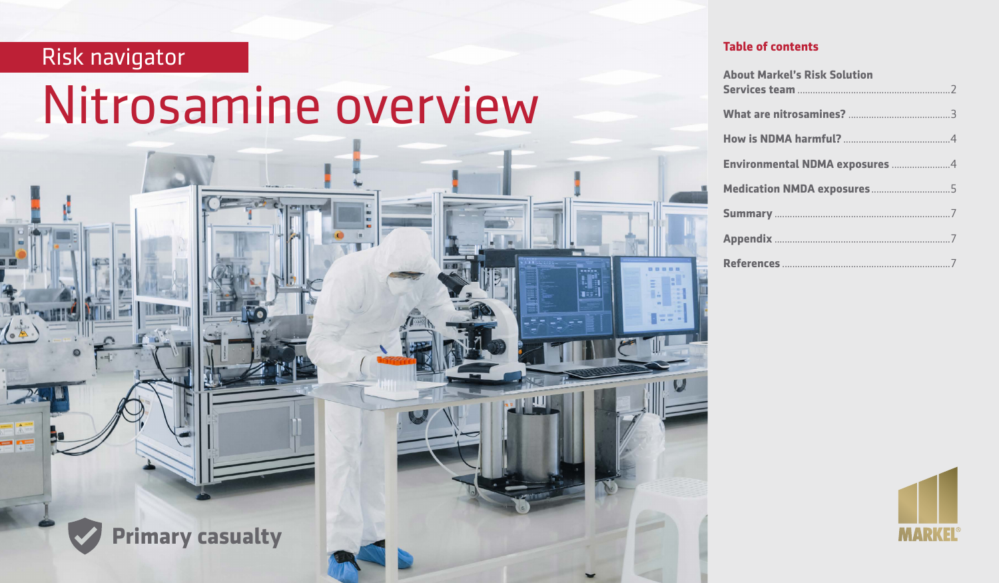# Risk navigator

٣F

# Nitrosamine overview

**PHILER** 

**Primary casualty**

| <b>About Markel's Risk Solution</b> |  |
|-------------------------------------|--|
|                                     |  |
|                                     |  |
| Environmental NDMA exposures 4      |  |
| Medication NMDA exposures5          |  |
|                                     |  |
|                                     |  |
|                                     |  |

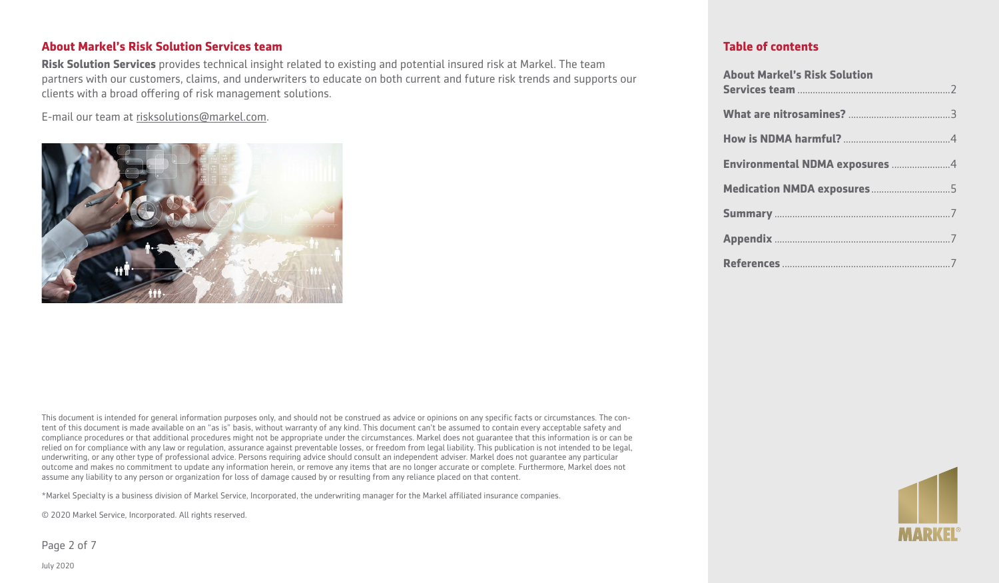### **About Markel's Risk Solution Services team**

**Risk Solution Services** provides technical insight related to existing and potential insured risk at Markel. The team partners with our customers, claims, and underwriters to educate on both current and future risk trends and supports our clients with a broad offering of risk management solutions.

E-mail our team at risksolutions@markel.com.



This document is intended for general information purposes only, and should not be construed as advice or opinions on any specific facts or circumstances. The content of this document is made available on an "as is" basis, without warranty of any kind. This document can't be assumed to contain every acceptable safety and compliance procedures or that additional procedures might not be appropriate under the circumstances. Markel does not guarantee that this information is or can be relied on for compliance with any law or regulation, assurance against preventable losses, or freedom from legal liability. This publication is not intended to be legal, underwriting, or any other type of professional advice. Persons requiring advice should consult an independent adviser. Markel does not guarantee any particular outcome and makes no commitment to update any information herein, or remove any items that are no longer accurate or complete. Furthermore, Markel does not assume any liability to any person or organization for loss of damage caused by or resulting from any reliance placed on that content.

\*Markel Specialty is a business division of Markel Service, Incorporated, the underwriting manager for the Markel affiliated insurance companies.

© 2020 Markel Service, Incorporated. All rights reserved.

Page 2 of 7

| <b>About Markel's Risk Solution</b> |  |
|-------------------------------------|--|
|                                     |  |
|                                     |  |
| Environmental NDMA exposures 4      |  |
| Medication NMDA exposures5          |  |
|                                     |  |
|                                     |  |
|                                     |  |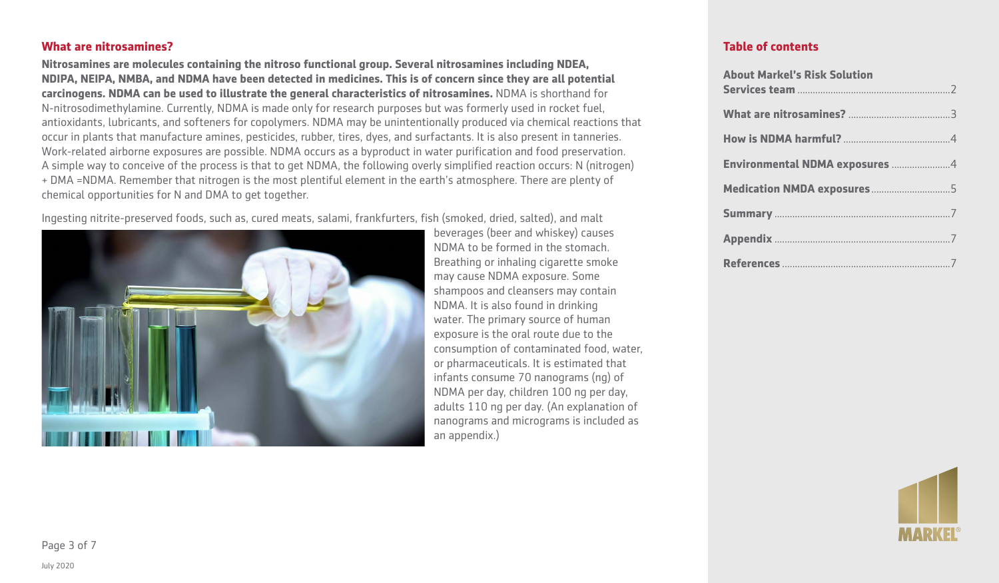#### **What are nitrosamines?**

**Nitrosamines are molecules containing the nitroso functional group. Several nitrosamines including NDEA, NDIPA, NEIPA, NMBA, and NDMA have been detected in medicines. This is of concern since they are all potential carcinogens. NDMA can be used to illustrate the general characteristics of nitrosamines.** NDMA is shorthand for N-nitrosodimethylamine. Currently, NDMA is made only for research purposes but was formerly used in rocket fuel, antioxidants, lubricants, and softeners for copolymers. NDMA may be unintentionally produced via chemical reactions that occur in plants that manufacture amines, pesticides, rubber, tires, dyes, and surfactants. It is also present in tanneries. Work-related airborne exposures are possible. NDMA occurs as a byproduct in water purification and food preservation. A simple way to conceive of the process is that to get NDMA, the following overly simplified reaction occurs: N (nitrogen) + DMA =NDMA. Remember that nitrogen is the most plentiful element in the earth's atmosphere. There are plenty of chemical opportunities for N and DMA to get together.

Ingesting nitrite-preserved foods, such as, cured meats, salami, frankfurters, fish (smoked, dried, salted), and malt



beverages (beer and whiskey) causes NDMA to be formed in the stomach. Breathing or inhaling cigarette smoke may cause NDMA exposure. Some shampoos and cleansers may contain NDMA. It is also found in drinking water. The primary source of human exposure is the oral route due to the consumption of contaminated food, water, or pharmaceuticals. It is estimated that infants consume 70 nanograms (ng) of NDMA per day, children 100 ng per day, adults 110 ng per day. (An explanation of nanograms and micrograms is included as an appendix.)

| <b>About Markel's Risk Solution</b> |
|-------------------------------------|
|                                     |
|                                     |
| Environmental NDMA exposures 4      |
|                                     |
|                                     |
|                                     |
|                                     |

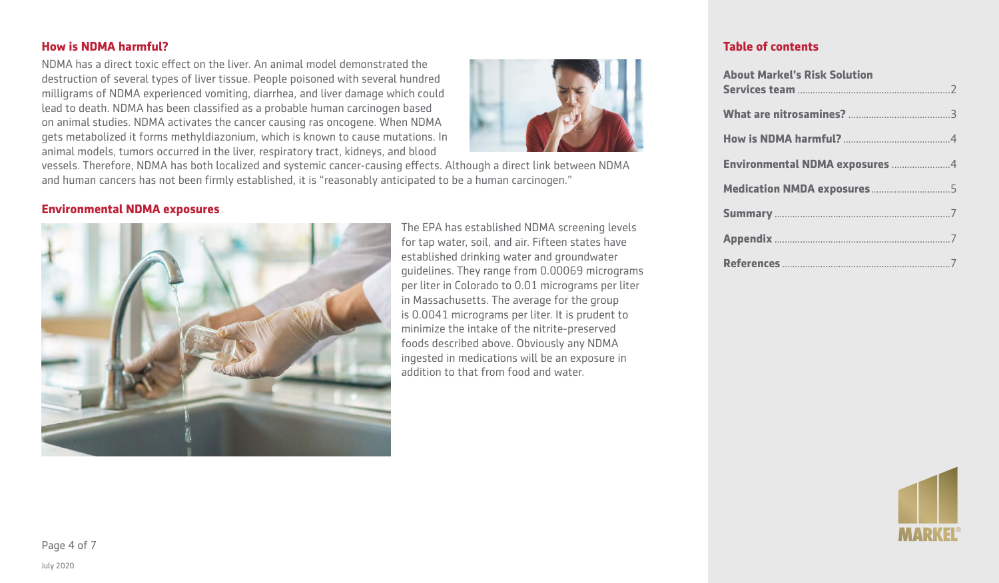#### **How is NDMA harmful?**

NDMA has a direct toxic effect on the liver. An animal model demonstrated the destruction of several types of liver tissue. People poisoned with several hundred milligrams of NDMA experienced vomiting, diarrhea, and liver damage which could lead to death. NDMA has been classified as a probable human carcinogen based on animal studies. NDMA activates the cancer causing ras oncogene. When NDMA gets metabolized it forms methyldiazonium, which is known to cause mutations. In animal models, tumors occurred in the liver, respiratory tract, kidneys, and blood



vessels. Therefore, NDMA has both localized and systemic cancer-causing effects. Although a direct link between NDMA and human cancers has not been firmly established, it is "reasonably anticipated to be a human carcinogen."

#### **Environmental NDMA exposures**



The EPA has established NDMA screening levels for tap water, soil, and air. Fifteen states have established drinking water and groundwater guidelines. They range from 0.00069 micrograms per liter in Colorado to 0.01 micrograms per liter in Massachusetts. The average for the group is 0.0041 micrograms per liter. It is prudent to minimize the intake of the nitrite-preserved foods described above. Obviously any NDMA ingested in medications will be an exposure in addition to that from food and water.

| <b>About Markel's Risk Solution</b> |  |
|-------------------------------------|--|
|                                     |  |
|                                     |  |
|                                     |  |
| Environmental NDMA exposures 4      |  |
| Medication NMDA exposures5          |  |
|                                     |  |
|                                     |  |
|                                     |  |

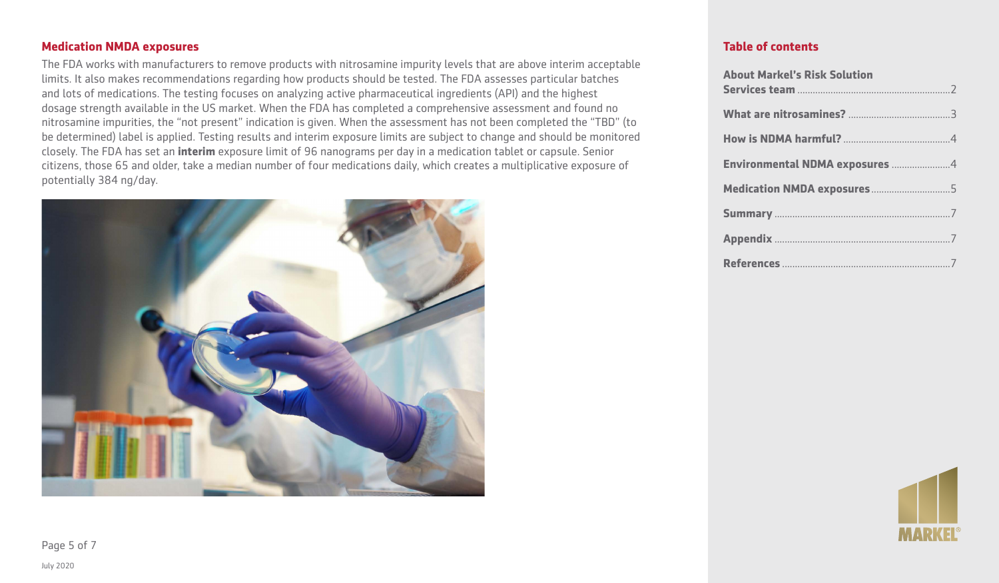### **Medication NMDA exposures**

The FDA works with manufacturers to remove products with nitrosamine impurity levels that are above interim acceptable limits. It also makes recommendations regarding how products should be tested. The FDA assesses particular batches and lots of medications. The testing focuses on analyzing active pharmaceutical ingredients (API) and the highest dosage strength available in the US market. When the FDA has completed a comprehensive assessment and found no nitrosamine impurities, the "not present" indication is given. When the assessment has not been completed the "TBD" (to be determined) label is applied. Testing results and interim exposure limits are subject to change and should be monitored closely. The FDA has set an **interim** exposure limit of 96 nanograms per day in a medication tablet or capsule. Senior citizens, those 65 and older, take a median number of four medications daily, which creates a multiplicative exposure of potentially 384 ng/day.



# **Table of contents**

| <b>About Markel's Risk Solution</b> |  |
|-------------------------------------|--|
|                                     |  |
|                                     |  |
| Environmental NDMA exposures 4      |  |
| Medication NMDA exposures5          |  |
|                                     |  |
|                                     |  |
|                                     |  |



Page 5 of 7

July 2020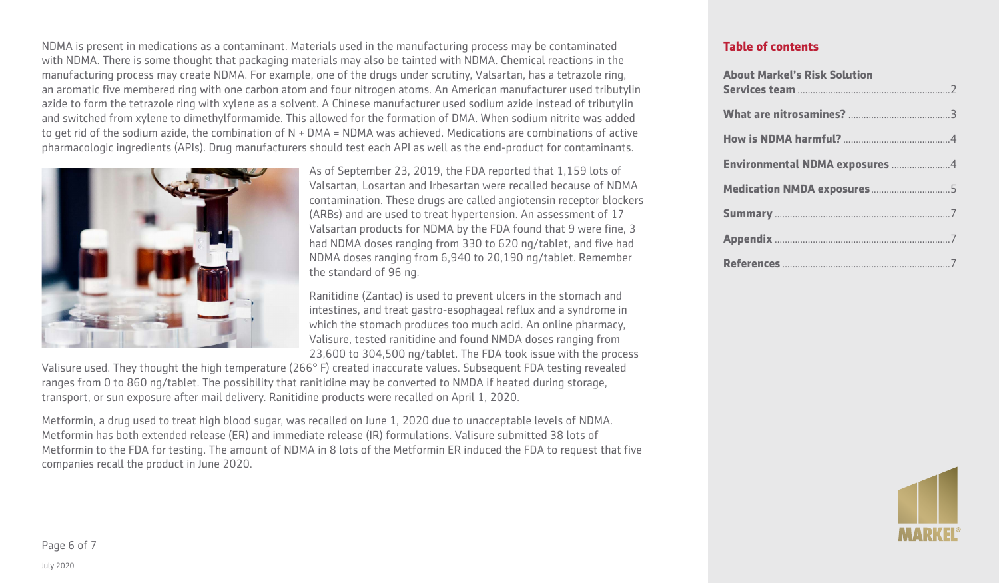NDMA is present in medications as a contaminant. Materials used in the manufacturing process may be contaminated with NDMA. There is some thought that packaging materials may also be tainted with NDMA. Chemical reactions in the manufacturing process may create NDMA. For example, one of the drugs under scrutiny, Valsartan, has a tetrazole ring, an aromatic five membered ring with one carbon atom and four nitrogen atoms. An American manufacturer used tributylin azide to form the tetrazole ring with xylene as a solvent. A Chinese manufacturer used sodium azide instead of tributylin and switched from xylene to dimethylformamide. This allowed for the formation of DMA. When sodium nitrite was added to get rid of the sodium azide, the combination of  $N + DMA = NDMA$  was achieved. Medications are combinations of active pharmacologic ingredients (APIs). Drug manufacturers should test each API as well as the end-product for contaminants.



As of September 23, 2019, the FDA reported that 1,159 lots of Valsartan, Losartan and Irbesartan were recalled because of NDMA contamination. These drugs are called angiotensin receptor blockers (ARBs) and are used to treat hypertension. An assessment of 17 Valsartan products for NDMA by the FDA found that 9 were fine, 3 had NDMA doses ranging from 330 to 620 ng/tablet, and five had NDMA doses ranging from 6,940 to 20,190 ng/tablet. Remember the standard of 96 ng.

Ranitidine (Zantac) is used to prevent ulcers in the stomach and intestines, and treat gastro-esophageal reflux and a syndrome in which the stomach produces too much acid. An online pharmacy, Valisure, tested ranitidine and found NMDA doses ranging from 23,600 to 304,500 ng/tablet. The FDA took issue with the process

Valisure used. They thought the high temperature (266° F) created inaccurate values. Subsequent FDA testing revealed ranges from 0 to 860 ng/tablet. The possibility that ranitidine may be converted to NMDA if heated during storage, transport, or sun exposure after mail delivery. Ranitidine products were recalled on April 1, 2020.

Metformin, a drug used to treat high blood sugar, was recalled on June 1, 2020 due to unacceptable levels of NDMA. Metformin has both extended release (ER) and immediate release (IR) formulations. Valisure submitted 38 lots of Metformin to the FDA for testing. The amount of NDMA in 8 lots of the Metformin ER induced the FDA to request that five companies recall the product in June 2020.

| <b>About Markel's Risk Solution</b> |
|-------------------------------------|
|                                     |
|                                     |
| Environmental NDMA exposures 4      |
|                                     |
|                                     |
|                                     |
|                                     |